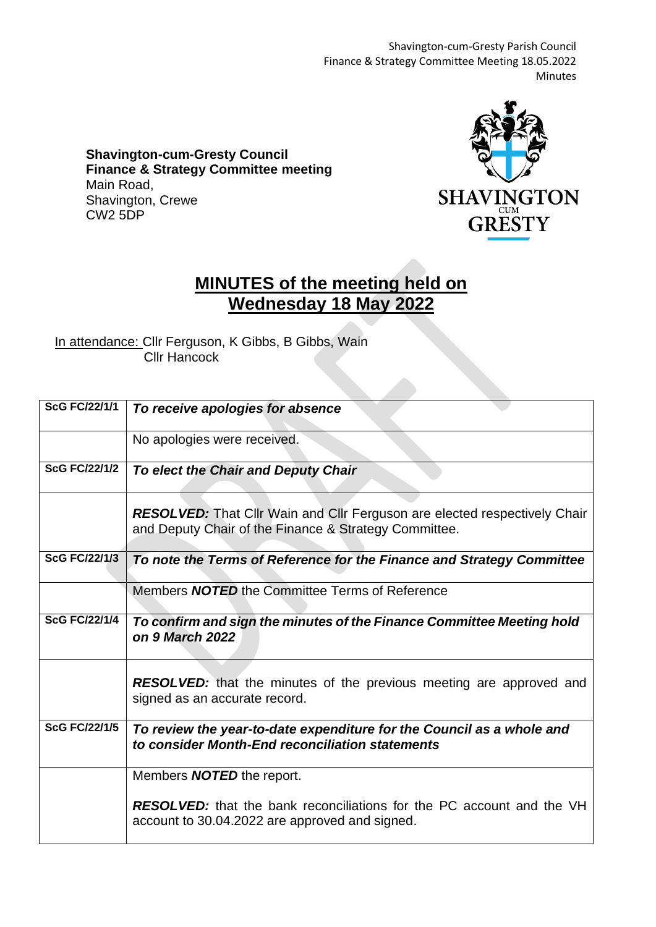Shavington-cum-Gresty Parish Council Finance & Strategy Committee Meeting 18.05.2022 Minutes

**Shavington-cum-Gresty Council Finance & Strategy Committee meeting** Main Road, Shavington, Crewe CW2 5DP



## **MINUTES of the meeting held on Wednesday 18 May 2022**

In attendance: Cllr Ferguson, K Gibbs, B Gibbs, Wain Cllr Hancock

| <b>ScG FC/22/1/1</b> | To receive apologies for absence                                                                                                          |
|----------------------|-------------------------------------------------------------------------------------------------------------------------------------------|
|                      | No apologies were received.                                                                                                               |
| <b>ScG FC/22/1/2</b> | To elect the Chair and Deputy Chair                                                                                                       |
|                      | <b>RESOLVED:</b> That Cllr Wain and Cllr Ferguson are elected respectively Chair<br>and Deputy Chair of the Finance & Strategy Committee. |
| <b>ScG FC/22/1/3</b> | To note the Terms of Reference for the Finance and Strategy Committee                                                                     |
|                      | Members <b>NOTED</b> the Committee Terms of Reference                                                                                     |
| <b>ScG FC/22/1/4</b> | To confirm and sign the minutes of the Finance Committee Meeting hold<br>on 9 March 2022                                                  |
|                      | <b>RESOLVED:</b> that the minutes of the previous meeting are approved and<br>signed as an accurate record.                               |
| <b>ScG FC/22/1/5</b> | To review the year-to-date expenditure for the Council as a whole and<br>to consider Month-End reconciliation statements                  |
|                      | Members <b>NOTED</b> the report.                                                                                                          |
|                      | <b>RESOLVED:</b> that the bank reconciliations for the PC account and the VH<br>account to 30.04.2022 are approved and signed.            |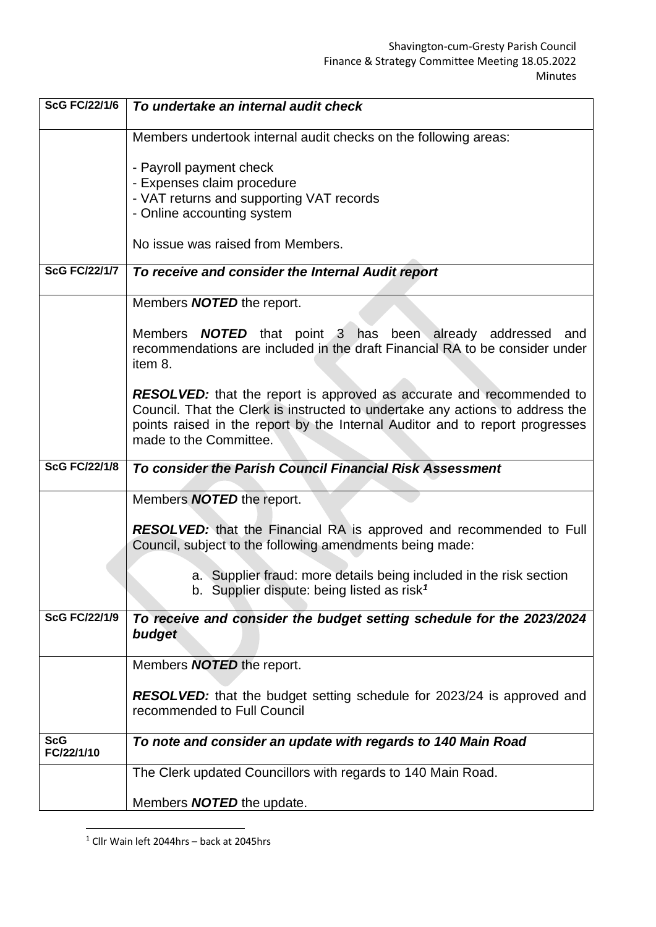| <b>ScG FC/22/1/6</b>     | To undertake an internal audit check                                                                                                                                                                                                                                   |
|--------------------------|------------------------------------------------------------------------------------------------------------------------------------------------------------------------------------------------------------------------------------------------------------------------|
|                          | Members undertook internal audit checks on the following areas:                                                                                                                                                                                                        |
|                          | - Payroll payment check                                                                                                                                                                                                                                                |
|                          | - Expenses claim procedure                                                                                                                                                                                                                                             |
|                          | - VAT returns and supporting VAT records                                                                                                                                                                                                                               |
|                          | - Online accounting system                                                                                                                                                                                                                                             |
|                          | No issue was raised from Members.                                                                                                                                                                                                                                      |
| <b>ScG FC/22/1/7</b>     | To receive and consider the Internal Audit report                                                                                                                                                                                                                      |
|                          | Members <b>NOTED</b> the report.                                                                                                                                                                                                                                       |
|                          | Members <b>NOTED</b> that point 3 has been already addressed and<br>recommendations are included in the draft Financial RA to be consider under<br>item 8.                                                                                                             |
|                          | <b>RESOLVED:</b> that the report is approved as accurate and recommended to<br>Council. That the Clerk is instructed to undertake any actions to address the<br>points raised in the report by the Internal Auditor and to report progresses<br>made to the Committee. |
| <b>ScG FC/22/1/8</b>     | To consider the Parish Council Financial Risk Assessment                                                                                                                                                                                                               |
|                          | Members <b>NOTED</b> the report.                                                                                                                                                                                                                                       |
|                          | <b>RESOLVED:</b> that the Financial RA is approved and recommended to Full<br>Council, subject to the following amendments being made:                                                                                                                                 |
|                          | a. Supplier fraud: more details being included in the risk section<br>b. Supplier dispute: being listed as risk <sup>1</sup>                                                                                                                                           |
| <b>ScG FC/22/1/9</b>     | To receive and consider the budget setting schedule for the 2023/2024<br>budget                                                                                                                                                                                        |
|                          | Members <b>NOTED</b> the report.                                                                                                                                                                                                                                       |
|                          | <b>RESOLVED:</b> that the budget setting schedule for 2023/24 is approved and<br>recommended to Full Council                                                                                                                                                           |
| <b>ScG</b><br>FC/22/1/10 | To note and consider an update with regards to 140 Main Road                                                                                                                                                                                                           |
|                          | The Clerk updated Councillors with regards to 140 Main Road.                                                                                                                                                                                                           |
|                          | Members <b>NOTED</b> the update.                                                                                                                                                                                                                                       |

<sup>1</sup> Cllr Wain left 2044hrs – back at 2045hrs